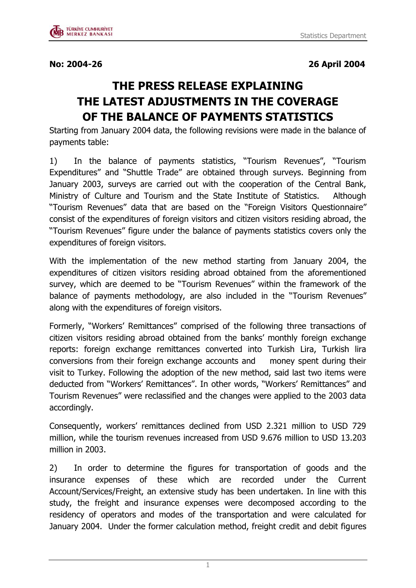**No: 2004-26 26 April 2004**

## **THE PRESS RELEASE EXPLAINING THE LATEST ADJUSTMENTS IN THE COVERAGE OF THE BALANCE OF PAYMENTS STATISTICS**

Starting from January 2004 data, the following revisions were made in the balance of payments table:

1) In the balance of payments statistics, "Tourism Revenues", "Tourism Expenditures" and "Shuttle Trade" are obtained through surveys. Beginning from January 2003, surveys are carried out with the cooperation of the Central Bank, Ministry of Culture and Tourism and the State Institute of Statistics. Although "Tourism Revenues" data that are based on the "Foreign Visitors Questionnaire" consist of the expenditures of foreign visitors and citizen visitors residing abroad, the "Tourism Revenues" figure under the balance of payments statistics covers only the expenditures of foreign visitors.

With the implementation of the new method starting from January 2004, the expenditures of citizen visitors residing abroad obtained from the aforementioned survey, which are deemed to be "Tourism Revenues" within the framework of the balance of payments methodology, are also included in the "Tourism Revenues" along with the expenditures of foreign visitors.

Formerly, "Workers' Remittances" comprised of the following three transactions of citizen visitors residing abroad obtained from the banks' monthly foreign exchange reports: foreign exchange remittances converted into Turkish Lira, Turkish lira conversions from their foreign exchange accounts and money spent during their visit to Turkey. Following the adoption of the new method, said last two items were deducted from "Workers' Remittances". In other words, "Workers' Remittances" and Tourism Revenues" were reclassified and the changes were applied to the 2003 data accordingly.

Consequently, workers' remittances declined from USD 2.321 million to USD 729 million, while the tourism revenues increased from USD 9.676 million to USD 13.203 million in 2003.

2) In order to determine the figures for transportation of goods and the insurance expenses of these which are recorded under the Current Account/Services/Freight, an extensive study has been undertaken. In line with this study, the freight and insurance expenses were decomposed according to the residency of operators and modes of the transportation and were calculated for January 2004. Under the former calculation method, freight credit and debit figures